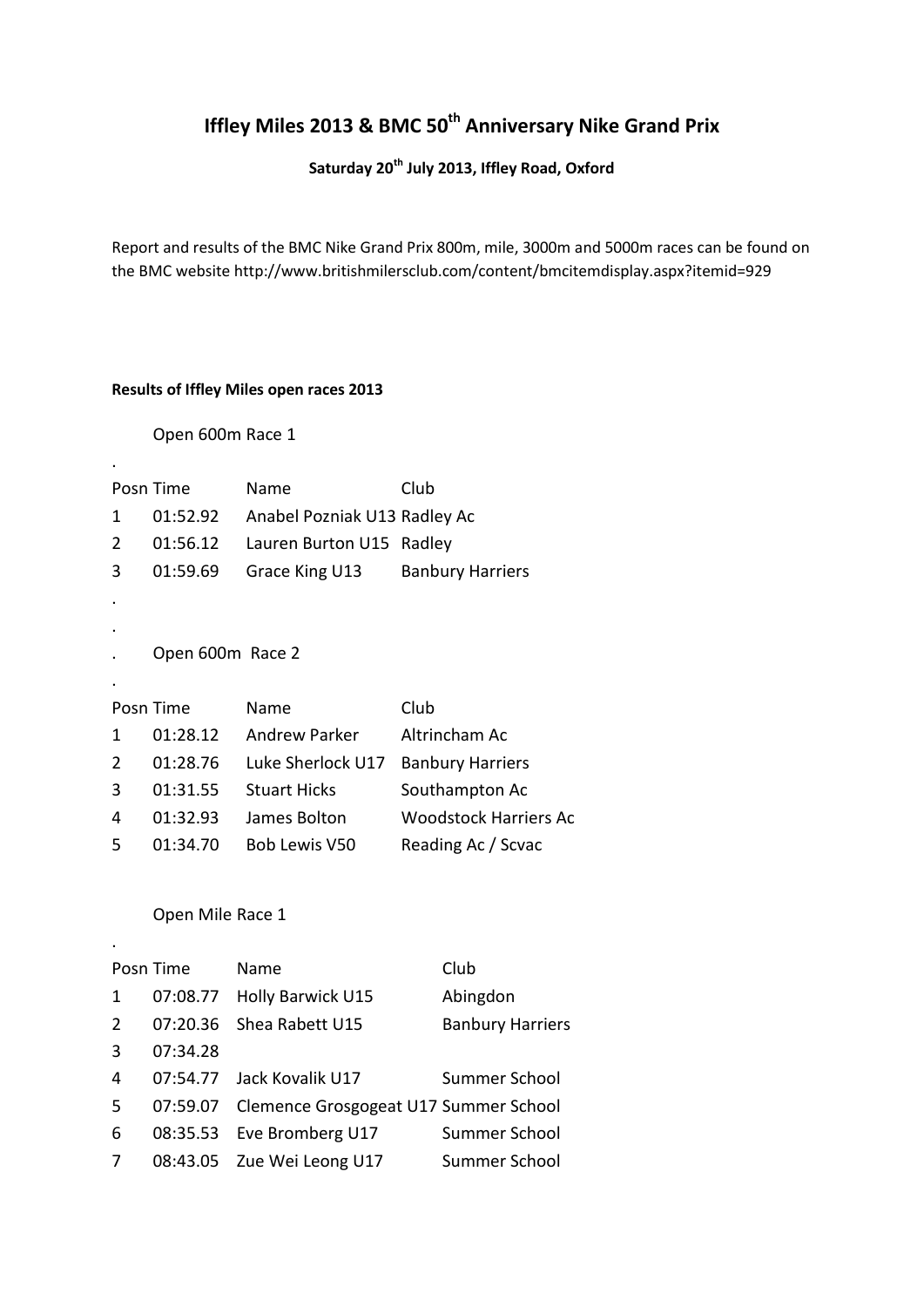# **Iffley Miles 2013 & BMC 50th Anniversary Nike Grand Prix**

## **Saturday 20th July 2013, Iffley Road, Oxford**

Report and results of the BMC Nike Grand Prix 800m, mile, 3000m and 5000m races can be found on the BMC website http://www.britishmilersclub.com/content/bmcitemdisplay.aspx?itemid=929

#### **Results of Iffley Miles open races 2013**

#### Open 600m Race 1

.

.

|   | Posn Time        | Name                         | Club                         |
|---|------------------|------------------------------|------------------------------|
| 1 | 01:52.92         | Anabel Pozniak U13 Radley Ac |                              |
| 2 | 01:56.12         | Lauren Burton U15 Radley     |                              |
| 3 | 01:59.69         | Grace King U13               | <b>Banbury Harriers</b>      |
|   |                  |                              |                              |
|   |                  |                              |                              |
|   | Open 600m Race 2 |                              |                              |
|   |                  |                              |                              |
|   | Posn Time        | Name                         | Club                         |
| 1 | 01:28.12         | <b>Andrew Parker</b>         | Altrincham Ac                |
| 2 | 01:28.76         | Luke Sherlock U17            | <b>Banbury Harriers</b>      |
| 3 | 01:31.55         | <b>Stuart Hicks</b>          | Southampton Ac               |
| 4 | 01:32.93         | James Bolton                 | <b>Woodstock Harriers Ac</b> |
| 5 | 01:34.70         | Bob Lewis V50                | Reading Ac / Scvac           |
|   |                  |                              |                              |

#### Open Mile Race 1

|                | Posn Time | Name                                           | Club                    |
|----------------|-----------|------------------------------------------------|-------------------------|
| 1              |           | 07:08.77 Holly Barwick U15                     | Abingdon                |
| $\overline{2}$ |           | 07:20.36 Shea Rabett U15                       | <b>Banbury Harriers</b> |
| 3              | 07:34.28  |                                                |                         |
| 4              |           | 07:54.77 Jack Kovalik U17                      | Summer School           |
| 5              |           | 07:59.07 Clemence Grosgogeat U17 Summer School |                         |
| 6              |           | 08:35.53 Eve Bromberg U17                      | Summer School           |
| 7              |           | 08:43.05 Zue Wei Leong U17                     | Summer School           |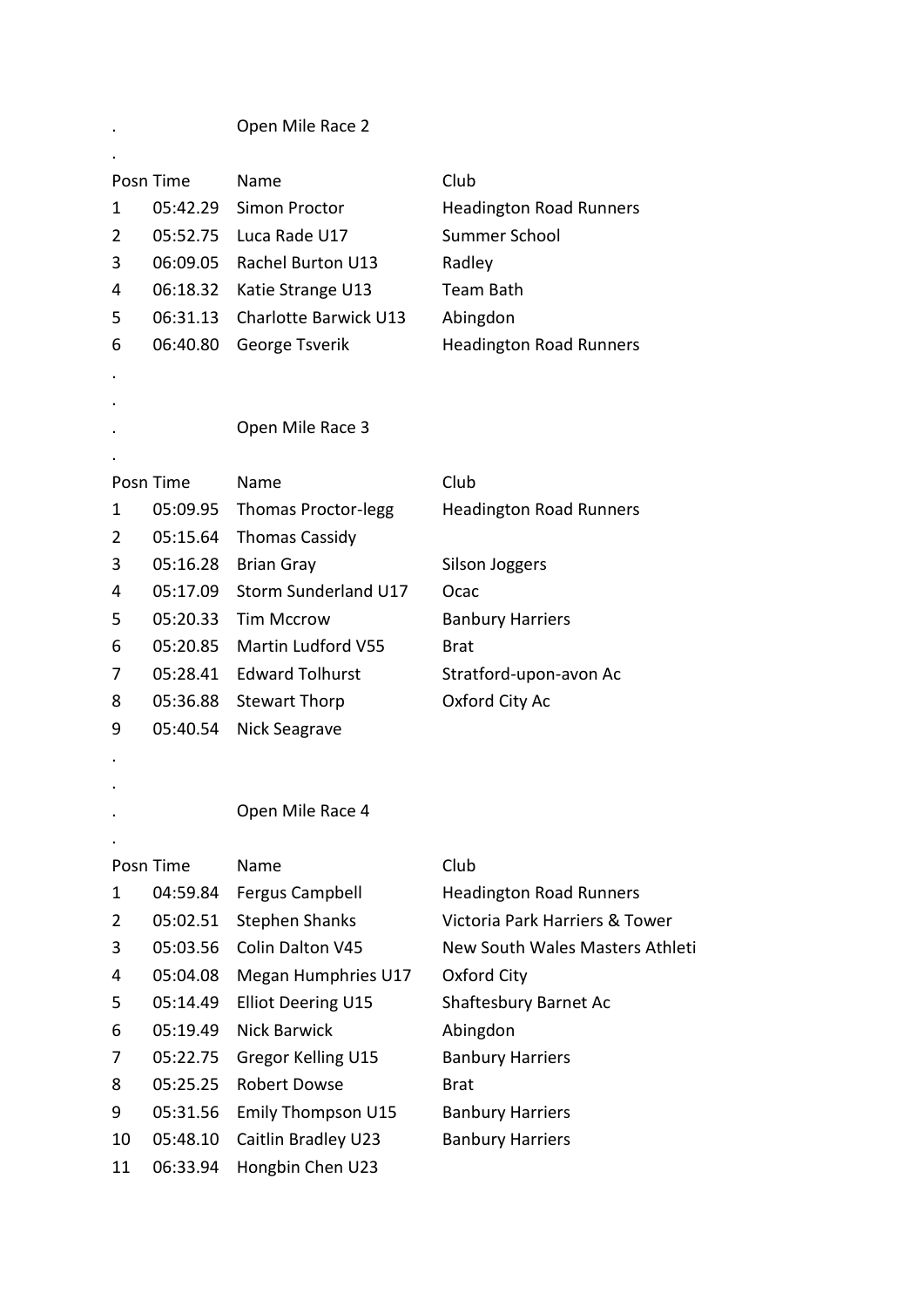. Open Mile Race 2

.

|                | Posn Time            | Name                                             | Club                              |
|----------------|----------------------|--------------------------------------------------|-----------------------------------|
| 1              | 05:42.29             | Simon Proctor                                    | <b>Headington Road Runners</b>    |
| 2              | 05:52.75             | Luca Rade U17                                    | Summer School                     |
| 3              | 06:09.05             | <b>Rachel Burton U13</b>                         | Radley                            |
| 4              | 06:18.32             | Katie Strange U13                                | <b>Team Bath</b>                  |
| 5              | 06:31.13             | Charlotte Barwick U13                            | Abingdon                          |
| 6              | 06:40.80             | George Tsverik                                   | <b>Headington Road Runners</b>    |
|                |                      |                                                  |                                   |
|                |                      |                                                  |                                   |
|                |                      | Open Mile Race 3                                 |                                   |
|                |                      |                                                  |                                   |
|                | Posn Time            | Name                                             | Club                              |
| 1              | 05:09.95             | <b>Thomas Proctor-legg</b>                       | <b>Headington Road Runners</b>    |
| $\overline{2}$ | 05:15.64             | <b>Thomas Cassidy</b>                            |                                   |
| 3              | 05:16.28             | <b>Brian Gray</b>                                | <b>Silson Joggers</b>             |
| 4              | 05:17.09             | Storm Sunderland U17                             | Ocac                              |
| 5              | 05:20.33             | <b>Tim Mccrow</b>                                | <b>Banbury Harriers</b>           |
| 6              | 05:20.85             | Martin Ludford V55                               | <b>Brat</b>                       |
| 7              | 05:28.41             | <b>Edward Tolhurst</b>                           | Stratford-upon-avon Ac            |
| 8              | 05:36.88             | <b>Stewart Thorp</b>                             | Oxford City Ac                    |
| 9              | 05:40.54             | Nick Seagrave                                    |                                   |
|                |                      |                                                  |                                   |
|                |                      |                                                  |                                   |
|                |                      | Open Mile Race 4                                 |                                   |
|                |                      |                                                  |                                   |
|                | Posn Time            | Name                                             | Club                              |
| 1              | 04:59.84             | <b>Fergus Campbell</b>                           | <b>Headington Road Runners</b>    |
| 2              | 05:02.51             | <b>Stephen Shanks</b>                            | Victoria Park Harriers & Tower    |
| 3              | 05:03.56             | Colin Dalton V45                                 | New South Wales Masters Athleti   |
| 4              | 05:04.08             | Megan Humphries U17                              | Oxford City                       |
| 5<br>6         | 05:14.49<br>05:19.49 | <b>Elliot Deering U15</b><br><b>Nick Barwick</b> | Shaftesbury Barnet Ac<br>Abingdon |
|                |                      | Gregor Kelling U15                               |                                   |
| 7              | 05:22.75             |                                                  | <b>Banbury Harriers</b>           |
| 8              | 05:25.25             | <b>Robert Dowse</b>                              | <b>Brat</b>                       |
| 9              | 05:31.56             | Emily Thompson U15                               | <b>Banbury Harriers</b>           |
| 10             | 05:48.10             | Caitlin Bradley U23                              | <b>Banbury Harriers</b>           |
| 11             | 06:33.94             | Hongbin Chen U23                                 |                                   |